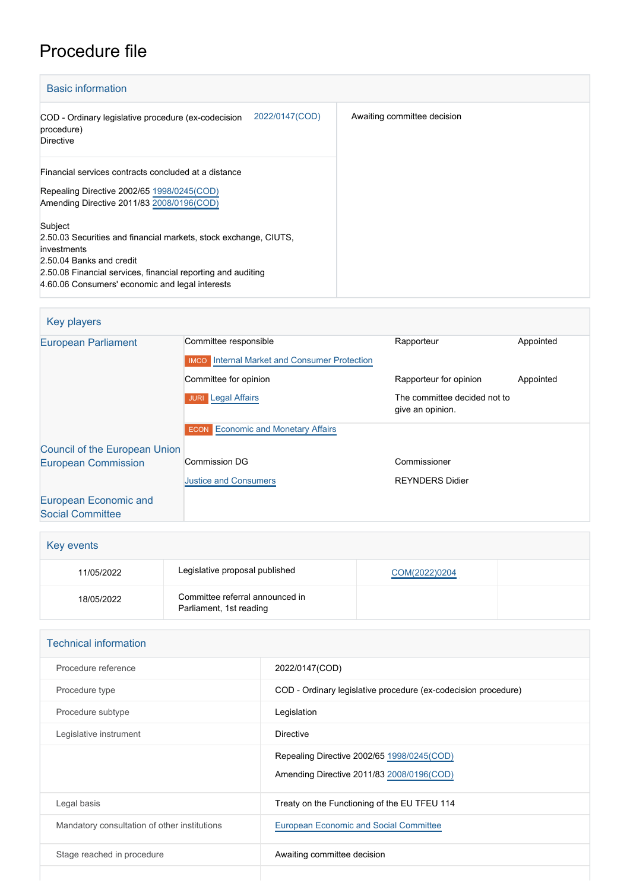## Procedure file

| <b>Basic information</b>                                                                                                                                                                                                                  |                             |
|-------------------------------------------------------------------------------------------------------------------------------------------------------------------------------------------------------------------------------------------|-----------------------------|
| 2022/0147(COD)<br>COD - Ordinary legislative procedure (ex-codecision<br>procedure)<br><b>Directive</b>                                                                                                                                   | Awaiting committee decision |
| Financial services contracts concluded at a distance<br>Repealing Directive 2002/65 1998/0245(COD)<br>Amending Directive 2011/83 2008/0196(COD)                                                                                           |                             |
| Subject<br>2.50.03 Securities and financial markets, stock exchange, CIUTS,<br>investments<br>2.50.04 Banks and credit<br>2.50.08 Financial services, financial reporting and auditing<br>4.60.06 Consumers' economic and legal interests |                             |

## Key players [European Parliament](http://www.europarl.europa.eu/) Committee responsible Rapporteur Rapporteur Appointed **IMCO** [Internal Market and Consumer Protection](http://www.europarl.europa.eu/committees/en/imco/home.html) Committee for opinion **Committee for opinion** Rapporteur for opinion Appointed **JURI [Legal Affairs](http://www.europarl.europa.eu/committees/en/juri/home.html) The committee decided not to** give an opinion. **ECON** [Economic and Monetary Affairs](http://www.europarl.europa.eu/committees/en/econ/home.html) [Council of the European Union](http://www.consilium.europa.eu) [European Commission](http://ec.europa.eu/) Commission DG [Justice and Consumers](http://ec.europa.eu/info/departments/justice-and-consumers_en) Commissioner REYNDERS Didier [European Economic and](http://www.eesc.europa.eu/) [Social Committee](http://www.eesc.europa.eu/)

| Key events |                                                            |               |  |  |  |
|------------|------------------------------------------------------------|---------------|--|--|--|
| 11/05/2022 | Legislative proposal published                             | COM(2022)0204 |  |  |  |
| 18/05/2022 | Committee referral announced in<br>Parliament, 1st reading |               |  |  |  |

| <b>Technical information</b> |                                              |                                                                                         |  |  |
|------------------------------|----------------------------------------------|-----------------------------------------------------------------------------------------|--|--|
|                              | Procedure reference                          | 2022/0147(COD)                                                                          |  |  |
|                              | Procedure type                               | COD - Ordinary legislative procedure (ex-codecision procedure)                          |  |  |
|                              | Procedure subtype                            | Legislation                                                                             |  |  |
|                              | Legislative instrument                       | <b>Directive</b>                                                                        |  |  |
|                              |                                              | Repealing Directive 2002/65 1998/0245(COD)<br>Amending Directive 2011/83 2008/0196(COD) |  |  |
|                              | Legal basis                                  | Treaty on the Functioning of the EU TFEU 114                                            |  |  |
|                              | Mandatory consultation of other institutions | <b>European Economic and Social Committee</b>                                           |  |  |
|                              | Stage reached in procedure                   | Awaiting committee decision                                                             |  |  |
|                              |                                              |                                                                                         |  |  |